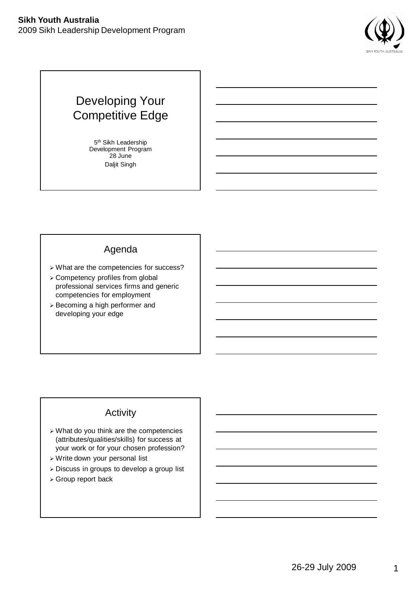

# Developing Your Competitive Edge

5<sup>th</sup> Sikh Leadership Development Program 28 June Daljit Singh

## Agenda

- What are the competencies for success?
- Competency profiles from global professional services firms and generic competencies for employment
- Becoming a high performer and developing your edge

## Activity

- What do you think are the competencies (attributes/qualities/skills) for success at your work or for your chosen profession?
- Write down your personal list
- Discuss in groups to develop a group list
- Group report back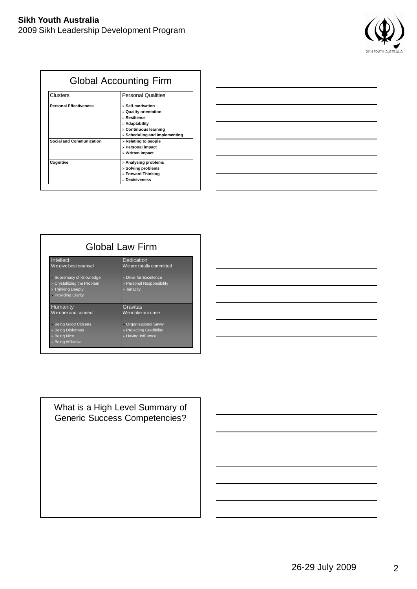

| <b>Global Accounting Firm</b>   |                                              |  |
|---------------------------------|----------------------------------------------|--|
| Clusters                        | <b>Personal Qualities</b>                    |  |
| <b>Personal Effectiveness</b>   | > Self-motivation                            |  |
|                                 | > Quality orientation                        |  |
|                                 | > Resilience                                 |  |
|                                 | > Adaptability                               |  |
|                                 | > Continuous learning                        |  |
|                                 | $\triangleright$ Scheduling and implementing |  |
| <b>Social and Communication</b> | $\triangleright$ Relating to people          |  |
|                                 | > Personal impact                            |  |
|                                 | $>$ Written impact                           |  |
| Cognitive                       | > Analysing problems                         |  |
|                                 | $\triangleright$ Solving problems            |  |
|                                 | > Forward Thinking                           |  |
|                                 | $>$ Decisiveness                             |  |

| <u> 1989 - Andrea Andrea Andrea Andrea Andrea Andrea Andrea Andrea Andrea Andrea Andrea Andrea Andrea Andrea And</u>                                                                                                          |                          |
|-------------------------------------------------------------------------------------------------------------------------------------------------------------------------------------------------------------------------------|--------------------------|
|                                                                                                                                                                                                                               |                          |
|                                                                                                                                                                                                                               |                          |
| the contract of the contract of the contract of the contract of the contract of                                                                                                                                               | $\overline{\phantom{a}}$ |
|                                                                                                                                                                                                                               |                          |
|                                                                                                                                                                                                                               |                          |
|                                                                                                                                                                                                                               |                          |
|                                                                                                                                                                                                                               |                          |
|                                                                                                                                                                                                                               |                          |
| <u> 1980 - Johann Barbara, martin amerikan basar dan basar dan basar dalam basar dalam basar dan basar dan basar</u>                                                                                                          |                          |
|                                                                                                                                                                                                                               |                          |
|                                                                                                                                                                                                                               |                          |
|                                                                                                                                                                                                                               |                          |
|                                                                                                                                                                                                                               |                          |
|                                                                                                                                                                                                                               |                          |
| <u> 1989 - Andrea Andrew Maria (h. 1989).</u>                                                                                                                                                                                 |                          |
|                                                                                                                                                                                                                               |                          |
|                                                                                                                                                                                                                               |                          |
| the control of the control of the control of the control of the control of the control of the control of the control of the control of the control of the control of the control of the control of the control of the control |                          |
|                                                                                                                                                                                                                               |                          |

| Global Law Firm                                                                                            |                                                                                  |  |  |  |
|------------------------------------------------------------------------------------------------------------|----------------------------------------------------------------------------------|--|--|--|
| Intellect<br>We give best counsel                                                                          | Dedication<br>We are totally committed                                           |  |  |  |
| > Supremacy of Knowledge<br>> Crystallizing the Problem<br>> Thinking Deeply<br>> Providing Clarity        | > Drive for Excellence<br>> Personal Responsibility<br>$\triangleright$ Tenacity |  |  |  |
| Humanity<br>We care and connect                                                                            | Gravitas<br>We make our case                                                     |  |  |  |
| <b>Being Good Citizens</b><br><b>&gt; Being Diplomats</b><br><b>Being Nice</b><br><b>Being Affiliative</b> | > Organisational Savvy<br>> Projecting Credibility<br>> Having Influence         |  |  |  |



What is a High Level Summary of Generic Success Competencies?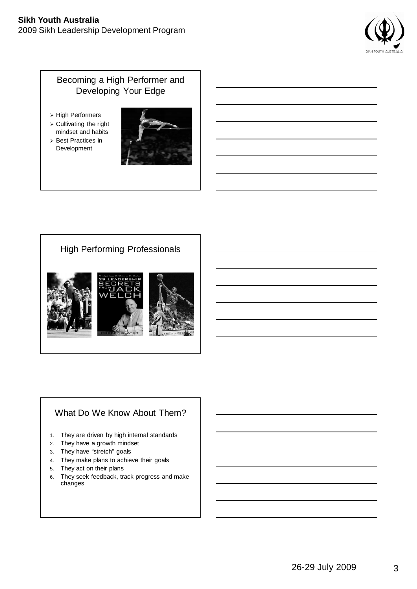#### **Sikh Youth Australia** 2009 Sikh Leadership Development Program



## Becoming a High Performer and Developing Your Edge

- > High Performers
- $\triangleright$  Cultivating the right mindset and habits
- Best Practices in Development



## High Performing Professionals



## What Do We Know About Them?

- 1. They are driven by high internal standards
- 2. They have a growth mindset
- 3. They have "stretch" goals
- 4. They make plans to achieve their goals
- 5. They act on their plans
- 6. They seek feedback, track progress and make changes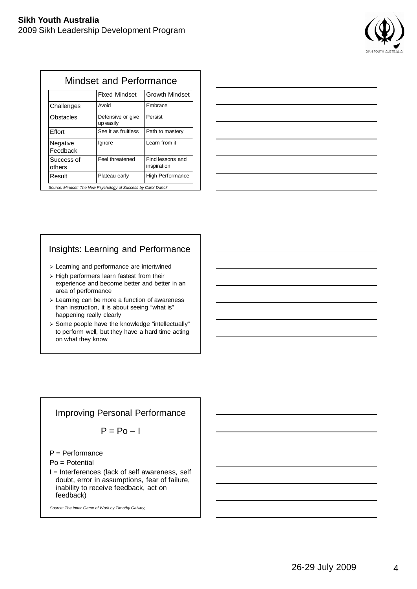

| Mindset and Performance |                                |                                 |  |  |
|-------------------------|--------------------------------|---------------------------------|--|--|
|                         | <b>Fixed Mindset</b>           | <b>Growth Mindset</b>           |  |  |
| Challenges              | Avoid                          | Embrace                         |  |  |
| Obstacles               | Defensive or give<br>up easily | Persist                         |  |  |
| <b>E</b> ffort          | See it as fruitless            | Path to mastery                 |  |  |
| Negative<br>Feedback    | lgnore                         | Learn from it                   |  |  |
| Success of<br>others    | Feel threatened                | Find lessons and<br>inspiration |  |  |
| Result                  | Plateau early                  | <b>High Performance</b>         |  |  |

*Source: Mindset: The New Psychology of Success by Carol Dweck*

## Insights: Learning and Performance

- Learning and performance are intertwined
- $\triangleright$  High performers learn fastest from their experience and become better and better in an area of performance
- $\triangleright$  Learning can be more a function of awareness than instruction, it is about seeing "what is" happening really clearly
- > Some people have the knowledge "intellectually" to perform well, but they have a hard time acting on what they know

### Improving Personal Performance

$$
P = Po - I
$$

P = Performance

Po = Potential

I = Interferences (lack of self awareness, self doubt, error in assumptions, fear of failure, inability to receive feedback, act on feedback)

*Source: The Inner Game of Work by Timothy Galway,*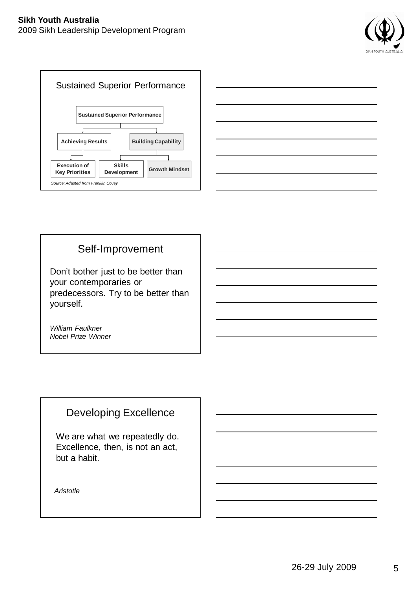





# Self-Improvement

Don't bother just to be better than your contemporaries or predecessors. Try to be better than yourself.

*William Faulkner Nobel Prize Winner*

# Developing Excellence

We are what we repeatedly do. Excellence, then, is not an act, but a habit.

*Aristotle*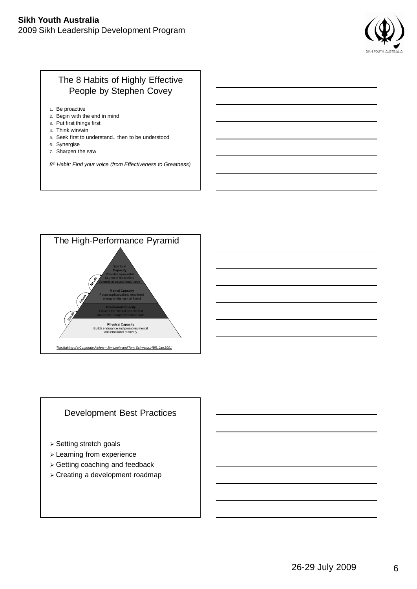#### **Sikh Youth Australia**

2009 Sikh Leadership Development Program



## The 8 Habits of Highly Effective People by Stephen Covey

- 1. Be proactive
- 2. Begin with the end in mind
- 3. Put first things first
- 4. Think win/win
- 5. Seek first to understand.. then to be understood
- 6. Synergise
- 7. Sharpen the saw

*8 th Habit: Find your voice (from Effectiveness to Greatness)*



### Development Best Practices

- Setting stretch goals
- Learning from experience
- Getting coaching and feedback
- Creating a development roadmap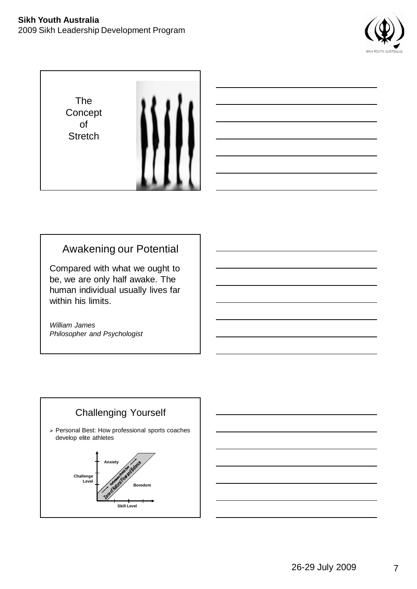





# Awakening our Potential

Compared with what we ought to be, we are only half awake. The human individual usually lives far within his limits.

*William James Philosopher and Psychologist*

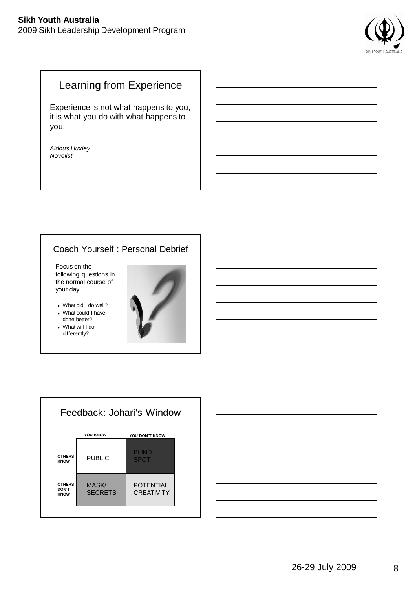#### **Sikh Youth Australia** 2009 Sikh Leadership Development Program



# Learning from Experience

Experience is not what happens to you, it is what you do with what happens to you.

*Aldous Huxley Novelist*

### Coach Yourself : Personal Debrief

Focus on the following questions in the normal course of your day:

What did I do well?

- What could I have done better?
- What will I do differently?





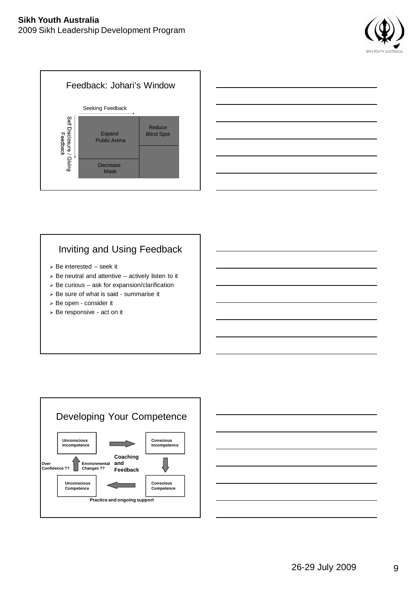





# Inviting and Using Feedback

- $\triangleright$  Be interested seek it
- $\triangleright$  Be neutral and attentive actively listen to it
- $\triangleright$  Be curious ask for expansion/clarification
- > Be sure of what is said summarise it
- Be open consider it
- > Be responsive act on it



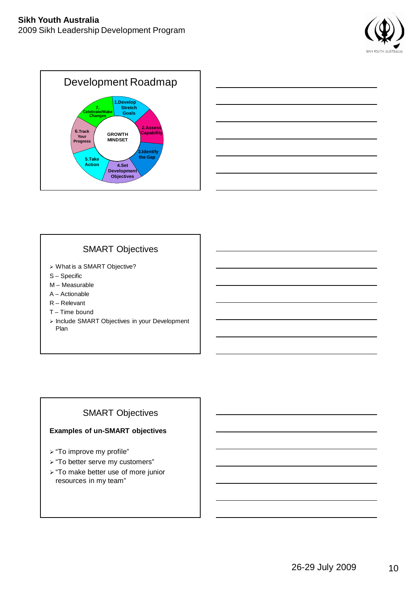





### SMART Objectives

- What is a SMART Objective?
- S Specific
- M Measurable
- A Actionable
- R Relevant
- T Time bound
- > Include SMART Objectives in your Development Plan

## SMART Objectives

#### **Examples of un-SMART objectives**

- > "To improve my profile"
- > "To better serve my customers"
- > "To make better use of more junior resources in my team"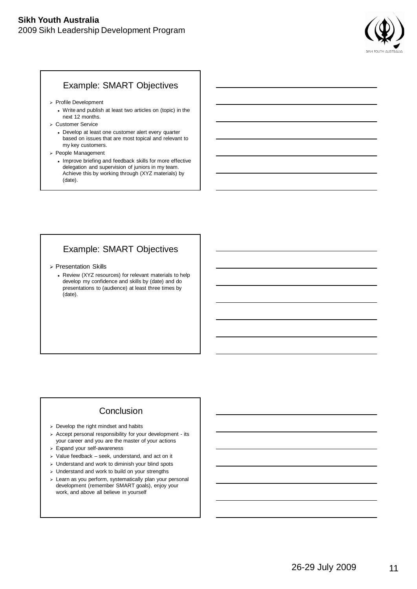

#### Example: SMART Objectives

- Profile Development
	- Write and publish at least two articles on (topic) in the next 12 months.
- Customer Service
	- Develop at least one customer alert every quarter based on issues that are most topical and relevant to my key customers.
- People Management
	- Improve briefing and feedback skills for more effective delegation and supervision of juniors in my team. Achieve this by working through (XYZ materials) by (date).

### Example: SMART Objectives

- Presentation Skills
	- Review (XYZ resources) for relevant materials to help develop my confidence and skills by (date) and do presentations to (audience) at least three times by (date).

### **Conclusion**

- $\ge$  Develop the right mindset and habits
- $\triangleright$  Accept personal responsibility for your development its your career and you are the master of your actions
- Expand your self-awareness
- $\triangleright$  Value feedback seek, understand, and act on it
- $>$  Understand and work to diminish your blind spots
- Understand and work to build on your strengths
- > Learn as you perform, systematically plan your personal development (remember SMART goals), enjoy your work, and above all believe in yourself

11